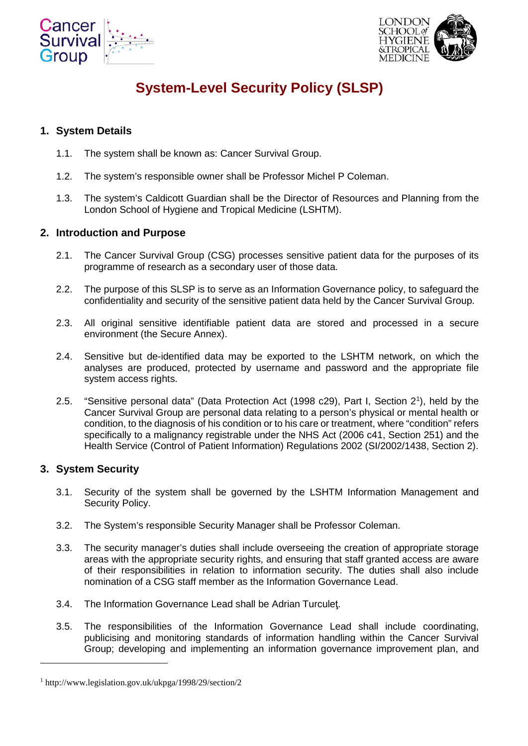



# **System-Level Security Policy (SLSP)**

## **1. System Details**

- 1.1. The system shall be known as: Cancer Survival Group.
- 1.2. The system's responsible owner shall be Professor Michel P Coleman.
- 1.3. The system's Caldicott Guardian shall be the Director of Resources and Planning from the London School of Hygiene and Tropical Medicine (LSHTM).

#### **2. Introduction and Purpose**

- 2.1. The Cancer Survival Group (CSG) processes sensitive patient data for the purposes of its programme of research as a secondary user of those data.
- 2.2. The purpose of this SLSP is to serve as an Information Governance policy, to safeguard the confidentiality and security of the sensitive patient data held by the Cancer Survival Group.
- 2.3. All original sensitive identifiable patient data are stored and processed in a secure environment (the Secure Annex).
- 2.4. Sensitive but de-identified data may be exported to the LSHTM network, on which the analyses are produced, protected by username and password and the appropriate file system access rights.
- 2.5. "Sensitive personal data" (Data Protection Act (1998 c29), Part I, Section 2[1](#page-0-0) ), held by the Cancer Survival Group are personal data relating to a person's physical or mental health or condition, to the diagnosis of his condition or to his care or treatment, where "condition" refers specifically to a malignancy registrable under the NHS Act (2006 c41, Section 251) and the Health Service (Control of Patient Information) Regulations 2002 (SI/2002/1438, Section 2).

#### **3. System Security**

-

- 3.1. Security of the system shall be governed by the LSHTM Information Management and Security Policy.
- 3.2. The System's responsible Security Manager shall be Professor Coleman.
- 3.3. The security manager's duties shall include overseeing the creation of appropriate storage areas with the appropriate security rights, and ensuring that staff granted access are aware of their responsibilities in relation to information security. The duties shall also include nomination of a CSG staff member as the Information Governance Lead.
- 3.4. The Information Governance Lead shall be Adrian Turculeţ.
- 3.5. The responsibilities of the Information Governance Lead shall include coordinating, publicising and monitoring standards of information handling within the Cancer Survival Group; developing and implementing an information governance improvement plan, and

<span id="page-0-0"></span><sup>1</sup> http://www.legislation.gov.uk/ukpga/1998/29/section/2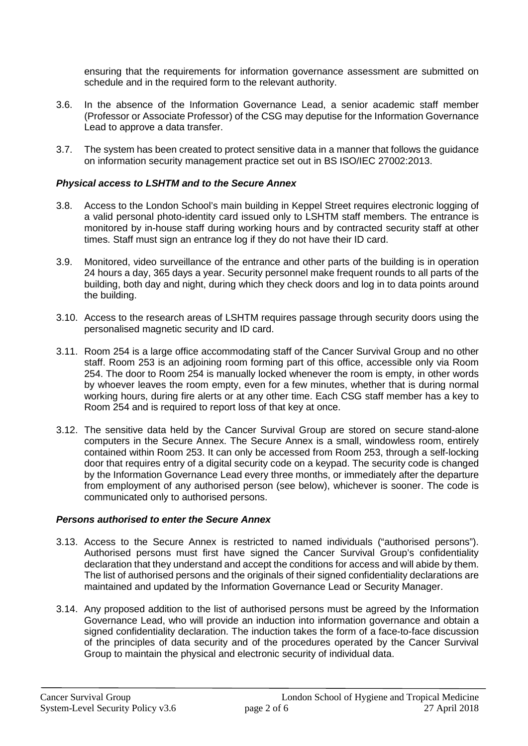ensuring that the requirements for information governance assessment are submitted on schedule and in the required form to the relevant authority.

- 3.6. In the absence of the Information Governance Lead, a senior academic staff member (Professor or Associate Professor) of the CSG may deputise for the Information Governance Lead to approve a data transfer.
- 3.7. The system has been created to protect sensitive data in a manner that follows the guidance on information security management practice set out in BS ISO/IEC 27002:2013.

#### *Physical access to LSHTM and to the Secure Annex*

- 3.8. Access to the London School's main building in Keppel Street requires electronic logging of a valid personal photo-identity card issued only to LSHTM staff members. The entrance is monitored by in-house staff during working hours and by contracted security staff at other times. Staff must sign an entrance log if they do not have their ID card.
- 3.9. Monitored, video surveillance of the entrance and other parts of the building is in operation 24 hours a day, 365 days a year. Security personnel make frequent rounds to all parts of the building, both day and night, during which they check doors and log in to data points around the building.
- 3.10. Access to the research areas of LSHTM requires passage through security doors using the personalised magnetic security and ID card.
- 3.11. Room 254 is a large office accommodating staff of the Cancer Survival Group and no other staff. Room 253 is an adjoining room forming part of this office, accessible only via Room 254. The door to Room 254 is manually locked whenever the room is empty, in other words by whoever leaves the room empty, even for a few minutes, whether that is during normal working hours, during fire alerts or at any other time. Each CSG staff member has a key to Room 254 and is required to report loss of that key at once.
- 3.12. The sensitive data held by the Cancer Survival Group are stored on secure stand-alone computers in the Secure Annex. The Secure Annex is a small, windowless room, entirely contained within Room 253. It can only be accessed from Room 253, through a self-locking door that requires entry of a digital security code on a keypad. The security code is changed by the Information Governance Lead every three months, or immediately after the departure from employment of any authorised person (see below), whichever is sooner. The code is communicated only to authorised persons.

#### *Persons authorised to enter the Secure Annex*

- 3.13. Access to the Secure Annex is restricted to named individuals ("authorised persons"). Authorised persons must first have signed the Cancer Survival Group's confidentiality declaration that they understand and accept the conditions for access and will abide by them. The list of authorised persons and the originals of their signed confidentiality declarations are maintained and updated by the Information Governance Lead or Security Manager.
- 3.14. Any proposed addition to the list of authorised persons must be agreed by the Information Governance Lead, who will provide an induction into information governance and obtain a signed confidentiality declaration. The induction takes the form of a face-to-face discussion of the principles of data security and of the procedures operated by the Cancer Survival Group to maintain the physical and electronic security of individual data.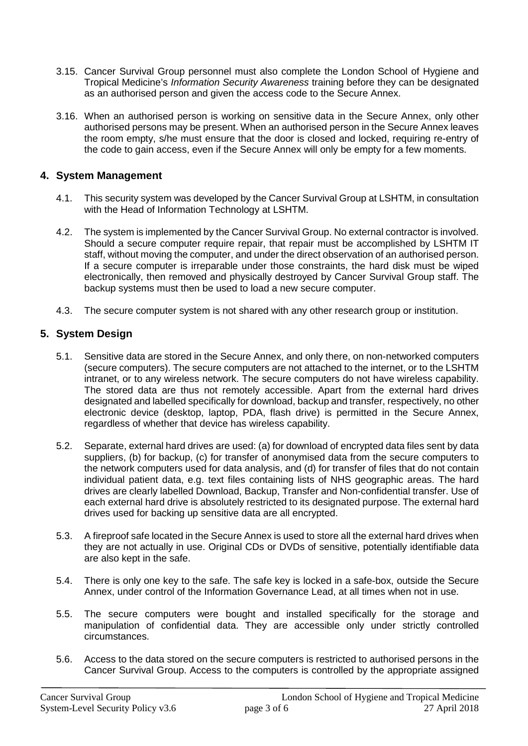- 3.15. Cancer Survival Group personnel must also complete the London School of Hygiene and Tropical Medicine's *Information Security Awareness* training before they can be designated as an authorised person and given the access code to the Secure Annex.
- 3.16. When an authorised person is working on sensitive data in the Secure Annex, only other authorised persons may be present. When an authorised person in the Secure Annex leaves the room empty, s/he must ensure that the door is closed and locked, requiring re-entry of the code to gain access, even if the Secure Annex will only be empty for a few moments.

## **4. System Management**

- 4.1. This security system was developed by the Cancer Survival Group at LSHTM, in consultation with the Head of Information Technology at LSHTM.
- 4.2. The system is implemented by the Cancer Survival Group. No external contractor is involved. Should a secure computer require repair, that repair must be accomplished by LSHTM IT staff, without moving the computer, and under the direct observation of an authorised person. If a secure computer is irreparable under those constraints, the hard disk must be wiped electronically, then removed and physically destroyed by Cancer Survival Group staff. The backup systems must then be used to load a new secure computer.
- 4.3. The secure computer system is not shared with any other research group or institution.

# **5. System Design**

- 5.1. Sensitive data are stored in the Secure Annex, and only there, on non-networked computers (secure computers). The secure computers are not attached to the internet, or to the LSHTM intranet, or to any wireless network. The secure computers do not have wireless capability. The stored data are thus not remotely accessible. Apart from the external hard drives designated and labelled specifically for download, backup and transfer, respectively, no other electronic device (desktop, laptop, PDA, flash drive) is permitted in the Secure Annex, regardless of whether that device has wireless capability.
- 5.2. Separate, external hard drives are used: (a) for download of encrypted data files sent by data suppliers, (b) for backup, (c) for transfer of anonymised data from the secure computers to the network computers used for data analysis, and (d) for transfer of files that do not contain individual patient data, e.g. text files containing lists of NHS geographic areas. The hard drives are clearly labelled Download, Backup, Transfer and Non-confidential transfer. Use of each external hard drive is absolutely restricted to its designated purpose. The external hard drives used for backing up sensitive data are all encrypted.
- 5.3. A fireproof safe located in the Secure Annex is used to store all the external hard drives when they are not actually in use. Original CDs or DVDs of sensitive, potentially identifiable data are also kept in the safe.
- 5.4. There is only one key to the safe. The safe key is locked in a safe-box, outside the Secure Annex, under control of the Information Governance Lead, at all times when not in use.
- 5.5. The secure computers were bought and installed specifically for the storage and manipulation of confidential data. They are accessible only under strictly controlled circumstances.
- 5.6. Access to the data stored on the secure computers is restricted to authorised persons in the Cancer Survival Group. Access to the computers is controlled by the appropriate assigned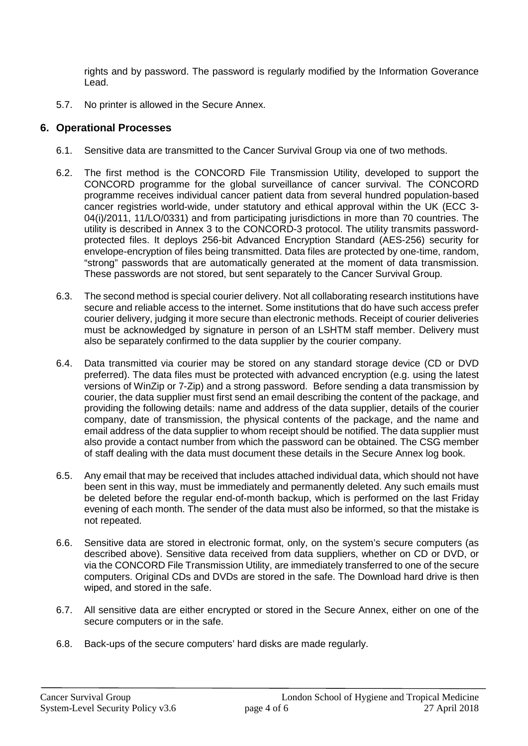rights and by password. The password is regularly modified by the Information Goverance Lead.

5.7. No printer is allowed in the Secure Annex.

#### **6. Operational Processes**

- 6.1. Sensitive data are transmitted to the Cancer Survival Group via one of two methods.
- 6.2. The first method is the CONCORD File Transmission Utility, developed to support the CONCORD programme for the global surveillance of cancer survival. The CONCORD programme receives individual cancer patient data from several hundred population-based cancer registries world-wide, under statutory and ethical approval within the UK (ECC 3- 04(i)/2011, 11/LO/0331) and from participating jurisdictions in more than 70 countries. The utility is described in Annex 3 to the CONCORD-3 protocol. The utility transmits passwordprotected files. It deploys 256-bit Advanced Encryption Standard (AES-256) security for envelope-encryption of files being transmitted. Data files are protected by one-time, random, "strong" passwords that are automatically generated at the moment of data transmission. These passwords are not stored, but sent separately to the Cancer Survival Group.
- 6.3. The second method is special courier delivery. Not all collaborating research institutions have secure and reliable access to the internet. Some institutions that do have such access prefer courier delivery, judging it more secure than electronic methods. Receipt of courier deliveries must be acknowledged by signature in person of an LSHTM staff member. Delivery must also be separately confirmed to the data supplier by the courier company.
- 6.4. Data transmitted via courier may be stored on any standard storage device (CD or DVD preferred). The data files must be protected with advanced encryption (e.g. using the latest versions of WinZip or 7-Zip) and a strong password. Before sending a data transmission by courier, the data supplier must first send an email describing the content of the package, and providing the following details: name and address of the data supplier, details of the courier company, date of transmission, the physical contents of the package, and the name and email address of the data supplier to whom receipt should be notified. The data supplier must also provide a contact number from which the password can be obtained. The CSG member of staff dealing with the data must document these details in the Secure Annex log book.
- 6.5. Any email that may be received that includes attached individual data, which should not have been sent in this way, must be immediately and permanently deleted. Any such emails must be deleted before the regular end-of-month backup, which is performed on the last Friday evening of each month. The sender of the data must also be informed, so that the mistake is not repeated.
- 6.6. Sensitive data are stored in electronic format, only, on the system's secure computers (as described above). Sensitive data received from data suppliers, whether on CD or DVD, or via the CONCORD File Transmission Utility, are immediately transferred to one of the secure computers. Original CDs and DVDs are stored in the safe. The Download hard drive is then wiped, and stored in the safe.
- 6.7. All sensitive data are either encrypted or stored in the Secure Annex, either on one of the secure computers or in the safe.
- 6.8. Back-ups of the secure computers' hard disks are made regularly.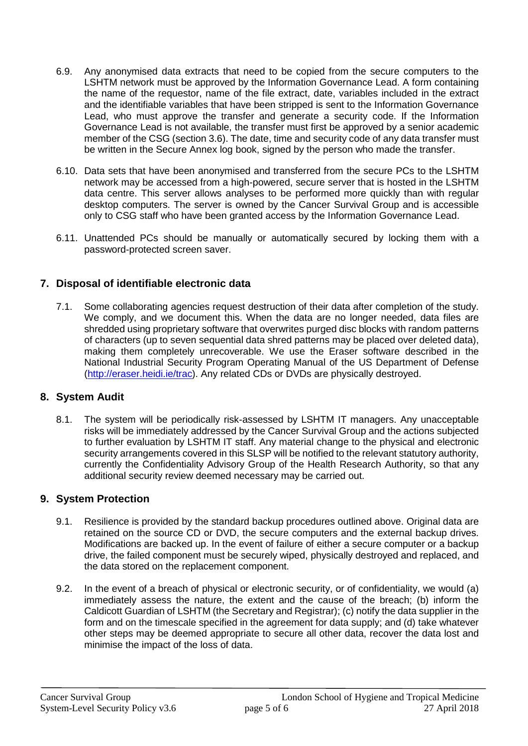- 6.9. Any anonymised data extracts that need to be copied from the secure computers to the LSHTM network must be approved by the Information Governance Lead. A form containing the name of the requestor, name of the file extract, date, variables included in the extract and the identifiable variables that have been stripped is sent to the Information Governance Lead, who must approve the transfer and generate a security code. If the Information Governance Lead is not available, the transfer must first be approved by a senior academic member of the CSG (section 3.6). The date, time and security code of any data transfer must be written in the Secure Annex log book, signed by the person who made the transfer.
- 6.10. Data sets that have been anonymised and transferred from the secure PCs to the LSHTM network may be accessed from a high-powered, secure server that is hosted in the LSHTM data centre. This server allows analyses to be performed more quickly than with regular desktop computers. The server is owned by the Cancer Survival Group and is accessible only to CSG staff who have been granted access by the Information Governance Lead.
- 6.11. Unattended PCs should be manually or automatically secured by locking them with a password-protected screen saver.

#### **7. Disposal of identifiable electronic data**

7.1. Some collaborating agencies request destruction of their data after completion of the study. We comply, and we document this. When the data are no longer needed, data files are shredded using proprietary software that overwrites purged disc blocks with random patterns of characters (up to seven sequential data shred patterns may be placed over deleted data), making them completely unrecoverable. We use the Eraser software described in the National Industrial Security Program Operating Manual of the US Department of Defense [\(http://eraser.heidi.ie/trac\)](http://eraser.heidi.ie/trac). Any related CDs or DVDs are physically destroyed.

# **8. System Audit**

8.1. The system will be periodically risk-assessed by LSHTM IT managers. Any unacceptable risks will be immediately addressed by the Cancer Survival Group and the actions subjected to further evaluation by LSHTM IT staff. Any material change to the physical and electronic security arrangements covered in this SLSP will be notified to the relevant statutory authority, currently the Confidentiality Advisory Group of the Health Research Authority, so that any additional security review deemed necessary may be carried out.

#### **9. System Protection**

- 9.1. Resilience is provided by the standard backup procedures outlined above. Original data are retained on the source CD or DVD, the secure computers and the external backup drives. Modifications are backed up. In the event of failure of either a secure computer or a backup drive, the failed component must be securely wiped, physically destroyed and replaced, and the data stored on the replacement component.
- 9.2. In the event of a breach of physical or electronic security, or of confidentiality, we would (a) immediately assess the nature, the extent and the cause of the breach; (b) inform the Caldicott Guardian of LSHTM (the Secretary and Registrar); (c) notify the data supplier in the form and on the timescale specified in the agreement for data supply; and (d) take whatever other steps may be deemed appropriate to secure all other data, recover the data lost and minimise the impact of the loss of data.